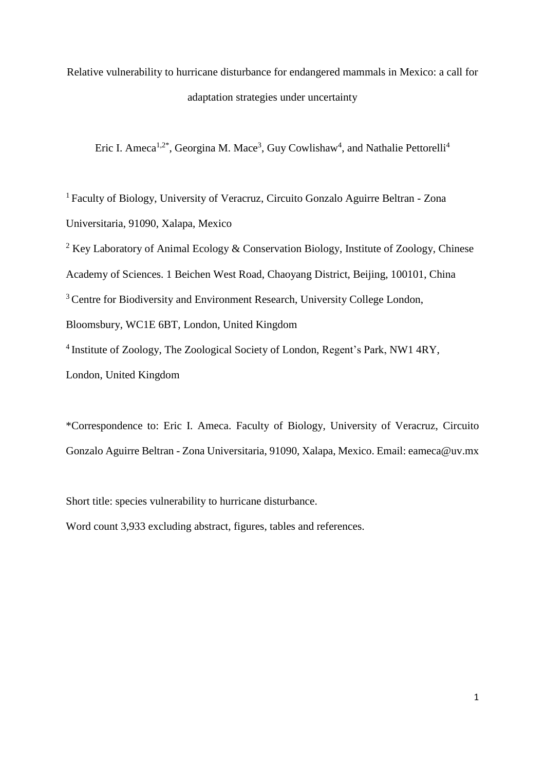Relative vulnerability to hurricane disturbance for endangered mammals in Mexico: a call for adaptation strategies under uncertainty

Eric I. Ameca<sup>1,2\*</sup>, Georgina M. Mace<sup>3</sup>, Guy Cowlishaw<sup>4</sup>, and Nathalie Pettorelli<sup>4</sup>

<sup>1</sup> Faculty of Biology, University of Veracruz, Circuito Gonzalo Aguirre Beltran - Zona Universitaria, 91090, Xalapa, Mexico

<sup>2</sup> Key Laboratory of Animal Ecology & Conservation Biology, Institute of Zoology, Chinese Academy of Sciences. 1 Beichen West Road, Chaoyang District, Beijing, 100101, China <sup>3</sup> Centre for Biodiversity and Environment Research, University College London, Bloomsbury, WC1E 6BT, London, United Kingdom <sup>4</sup> Institute of Zoology, The Zoological Society of London, Regent's Park, NW1 4RY, London, United Kingdom

\*Correspondence to: Eric I. Ameca. Faculty of Biology, University of Veracruz, Circuito Gonzalo Aguirre Beltran - Zona Universitaria, 91090, Xalapa, Mexico. Email: eameca@uv.mx

Short title: species vulnerability to hurricane disturbance.

Word count 3,933 excluding abstract, figures, tables and references.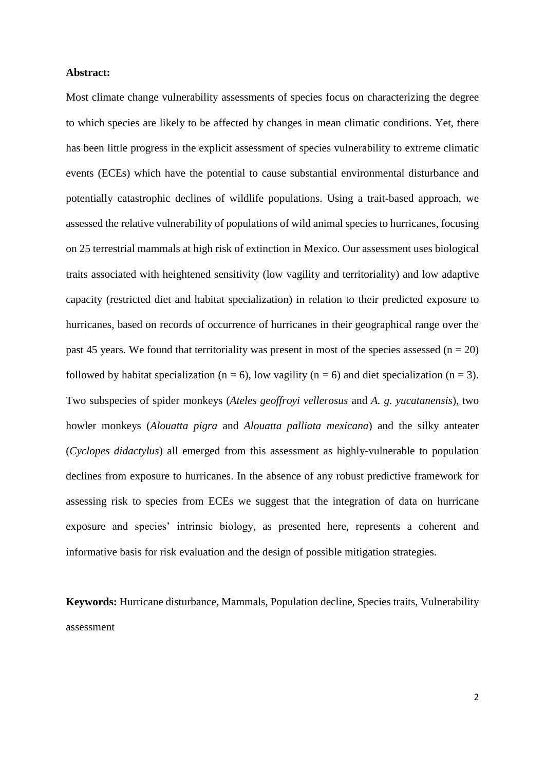### **Abstract:**

Most climate change vulnerability assessments of species focus on characterizing the degree to which species are likely to be affected by changes in mean climatic conditions. Yet, there has been little progress in the explicit assessment of species vulnerability to extreme climatic events (ECEs) which have the potential to cause substantial environmental disturbance and potentially catastrophic declines of wildlife populations. Using a trait-based approach, we assessed the relative vulnerability of populations of wild animal species to hurricanes, focusing on 25 terrestrial mammals at high risk of extinction in Mexico. Our assessment uses biological traits associated with heightened sensitivity (low vagility and territoriality) and low adaptive capacity (restricted diet and habitat specialization) in relation to their predicted exposure to hurricanes, based on records of occurrence of hurricanes in their geographical range over the past 45 years. We found that territoriality was present in most of the species assessed ( $n = 20$ ) followed by habitat specialization ( $n = 6$ ), low vagility ( $n = 6$ ) and diet specialization ( $n = 3$ ). Two subspecies of spider monkeys (*Ateles geoffroyi vellerosus* and *A. g. yucatanensis*), two howler monkeys (*Alouatta pigra* and *Alouatta palliata mexicana*) and the silky anteater (*Cyclopes didactylus*) all emerged from this assessment as highly-vulnerable to population declines from exposure to hurricanes. In the absence of any robust predictive framework for assessing risk to species from ECEs we suggest that the integration of data on hurricane exposure and species' intrinsic biology, as presented here, represents a coherent and informative basis for risk evaluation and the design of possible mitigation strategies.

**Keywords:** Hurricane disturbance, Mammals, Population decline, Species traits, Vulnerability assessment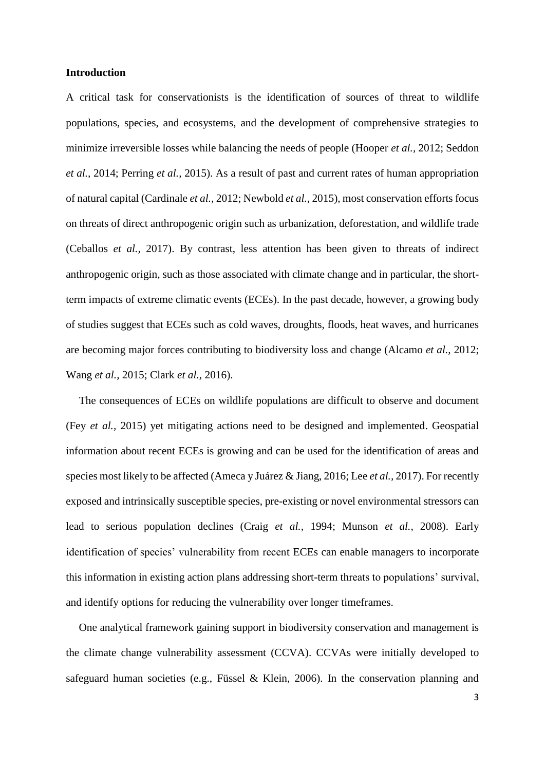### **Introduction**

A critical task for conservationists is the identification of sources of threat to wildlife populations, species, and ecosystems, and the development of comprehensive strategies to minimize irreversible losses while balancing the needs of people (Hooper *et al.,* 2012; Seddon *et al.,* 2014; Perring *et al.,* 2015). As a result of past and current rates of human appropriation of natural capital (Cardinale *et al.,* 2012; Newbold *et al.,* 2015), most conservation efforts focus on threats of direct anthropogenic origin such as urbanization, deforestation, and wildlife trade (Ceballos *et al.,* 2017). By contrast, less attention has been given to threats of indirect anthropogenic origin, such as those associated with climate change and in particular, the shortterm impacts of extreme climatic events (ECEs). In the past decade, however, a growing body of studies suggest that ECEs such as cold waves, droughts, floods, heat waves, and hurricanes are becoming major forces contributing to biodiversity loss and change (Alcamo *et al.,* 2012; Wang *et al.,* 2015; Clark *et al.,* 2016).

The consequences of ECEs on wildlife populations are difficult to observe and document (Fey *et al.,* 2015) yet mitigating actions need to be designed and implemented. Geospatial information about recent ECEs is growing and can be used for the identification of areas and species most likely to be affected (Ameca y Juárez & Jiang, 2016; Lee *et al.,* 2017). For recently exposed and intrinsically susceptible species, pre-existing or novel environmental stressors can lead to serious population declines (Craig *et al.,* 1994; Munson *et al.,* 2008). Early identification of species' vulnerability from recent ECEs can enable managers to incorporate this information in existing action plans addressing short-term threats to populations' survival, and identify options for reducing the vulnerability over longer timeframes.

One analytical framework gaining support in biodiversity conservation and management is the climate change vulnerability assessment (CCVA). CCVAs were initially developed to safeguard human societies (e.g., Füssel & Klein, 2006). In the conservation planning and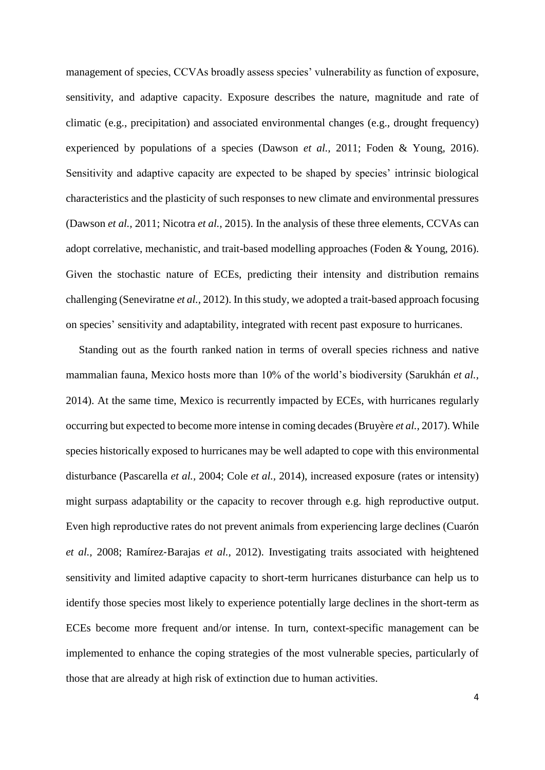management of species, CCVAs broadly assess species' vulnerability as function of exposure, sensitivity, and adaptive capacity. Exposure describes the nature, magnitude and rate of climatic (e.g., precipitation) and associated environmental changes (e.g., drought frequency) experienced by populations of a species (Dawson *et al.,* 2011; Foden & Young, 2016). Sensitivity and adaptive capacity are expected to be shaped by species' intrinsic biological characteristics and the plasticity of such responses to new climate and environmental pressures (Dawson *et al.,* 2011; Nicotra *et al.,* 2015). In the analysis of these three elements, CCVAs can adopt correlative, mechanistic, and trait-based modelling approaches (Foden & Young, 2016). Given the stochastic nature of ECEs, predicting their intensity and distribution remains challenging (Seneviratne *et al.,* 2012). In this study, we adopted a trait-based approach focusing on species' sensitivity and adaptability, integrated with recent past exposure to hurricanes.

Standing out as the fourth ranked nation in terms of overall species richness and native mammalian fauna, Mexico hosts more than 10% of the world's biodiversity (Sarukhán *et al.,* 2014). At the same time, Mexico is recurrently impacted by ECEs, with hurricanes regularly occurring but expected to become more intense in coming decades (Bruyère *et al.,* 2017). While species historically exposed to hurricanes may be well adapted to cope with this environmental disturbance (Pascarella *et al.,* 2004; Cole *et al.,* 2014), increased exposure (rates or intensity) might surpass adaptability or the capacity to recover through e.g. high reproductive output. Even high reproductive rates do not prevent animals from experiencing large declines (Cuarón *et al.,* 2008; Ramírez‐Barajas *et al.,* 2012). Investigating traits associated with heightened sensitivity and limited adaptive capacity to short-term hurricanes disturbance can help us to identify those species most likely to experience potentially large declines in the short-term as ECEs become more frequent and/or intense. In turn, context-specific management can be implemented to enhance the coping strategies of the most vulnerable species, particularly of those that are already at high risk of extinction due to human activities.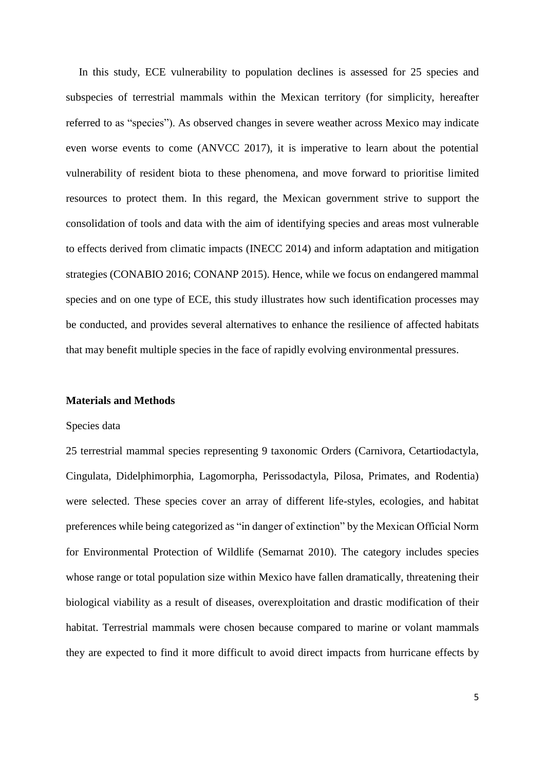In this study, ECE vulnerability to population declines is assessed for 25 species and subspecies of terrestrial mammals within the Mexican territory (for simplicity, hereafter referred to as "species"). As observed changes in severe weather across Mexico may indicate even worse events to come (ANVCC 2017), it is imperative to learn about the potential vulnerability of resident biota to these phenomena, and move forward to prioritise limited resources to protect them. In this regard, the Mexican government strive to support the consolidation of tools and data with the aim of identifying species and areas most vulnerable to effects derived from climatic impacts (INECC 2014) and inform adaptation and mitigation strategies (CONABIO 2016; CONANP 2015). Hence, while we focus on endangered mammal species and on one type of ECE, this study illustrates how such identification processes may be conducted, and provides several alternatives to enhance the resilience of affected habitats that may benefit multiple species in the face of rapidly evolving environmental pressures.

#### **Materials and Methods**

#### Species data

25 terrestrial mammal species representing 9 taxonomic Orders (Carnivora, Cetartiodactyla, Cingulata, Didelphimorphia, Lagomorpha, Perissodactyla, Pilosa, Primates, and Rodentia) were selected. These species cover an array of different life-styles, ecologies, and habitat preferences while being categorized as "in danger of extinction" by the Mexican Official Norm for Environmental Protection of Wildlife (Semarnat 2010). The category includes species whose range or total population size within Mexico have fallen dramatically, threatening their biological viability as a result of diseases, overexploitation and drastic modification of their habitat. Terrestrial mammals were chosen because compared to marine or volant mammals they are expected to find it more difficult to avoid direct impacts from hurricane effects by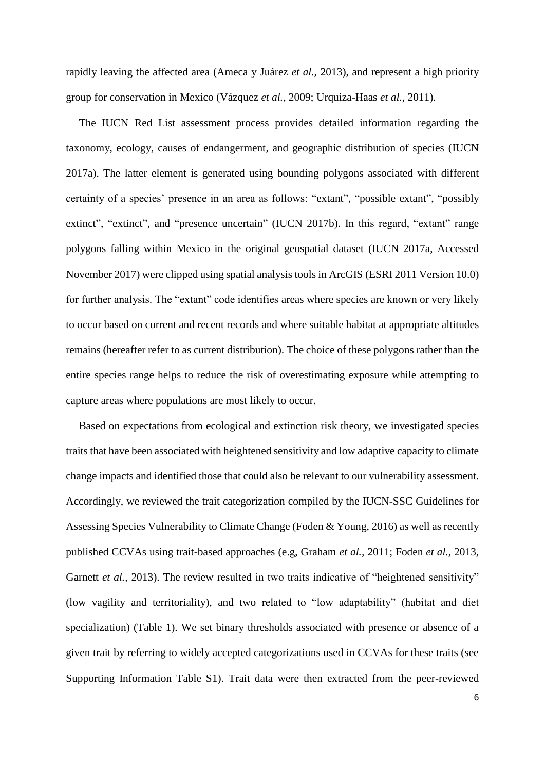rapidly leaving the affected area (Ameca y Juárez *et al.,* 2013), and represent a high priority group for conservation in Mexico (Vázquez *et al.,* 2009; Urquiza-Haas *et al.,* 2011).

The IUCN Red List assessment process provides detailed information regarding the taxonomy, ecology, causes of endangerment, and geographic distribution of species (IUCN 2017a). The latter element is generated using bounding polygons associated with different certainty of a species' presence in an area as follows: "extant", "possible extant", "possibly extinct", "extinct", and "presence uncertain" (IUCN 2017b). In this regard, "extant" range polygons falling within Mexico in the original geospatial dataset (IUCN 2017a, Accessed November 2017) were clipped using spatial analysis tools in ArcGIS (ESRI 2011 Version 10.0) for further analysis. The "extant" code identifies areas where species are known or very likely to occur based on current and recent records and where suitable habitat at appropriate altitudes remains (hereafter refer to as current distribution). The choice of these polygons rather than the entire species range helps to reduce the risk of overestimating exposure while attempting to capture areas where populations are most likely to occur.

Based on expectations from ecological and extinction risk theory, we investigated species traits that have been associated with heightened sensitivity and low adaptive capacity to climate change impacts and identified those that could also be relevant to our vulnerability assessment. Accordingly, we reviewed the trait categorization compiled by the IUCN-SSC Guidelines for Assessing Species Vulnerability to Climate Change (Foden & Young, 2016) as well as recently published CCVAs using trait-based approaches (e.g, Graham *et al.,* 2011; Foden *et al.,* 2013, Garnett *et al.*, 2013). The review resulted in two traits indicative of "heightened sensitivity" (low vagility and territoriality), and two related to "low adaptability" (habitat and diet specialization) (Table 1). We set binary thresholds associated with presence or absence of a given trait by referring to widely accepted categorizations used in CCVAs for these traits (see Supporting Information Table S1). Trait data were then extracted from the peer-reviewed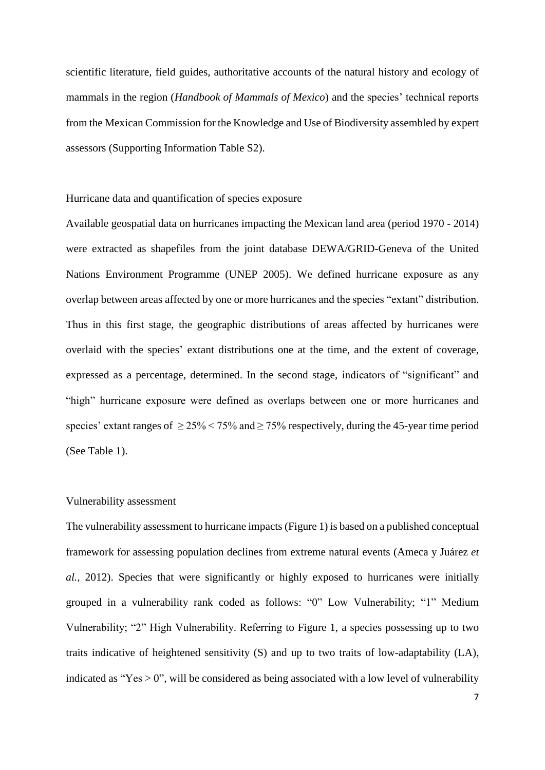scientific literature, field guides, authoritative accounts of the natural history and ecology of mammals in the region (*Handbook of Mammals of Mexico*) and the species' technical reports from the Mexican Commission for the Knowledge and Use of Biodiversity assembled by expert assessors (Supporting Information Table S2).

Hurricane data and quantification of species exposure

Available geospatial data on hurricanes impacting the Mexican land area (period 1970 - 2014) were extracted as shapefiles from the joint database DEWA/GRID-Geneva of the United Nations Environment Programme (UNEP 2005). We defined hurricane exposure as any overlap between areas affected by one or more hurricanes and the species "extant" distribution. Thus in this first stage, the geographic distributions of areas affected by hurricanes were overlaid with the species' extant distributions one at the time, and the extent of coverage, expressed as a percentage, determined. In the second stage, indicators of "significant" and "high" hurricane exposure were defined as overlaps between one or more hurricanes and species' extant ranges of  $>$  25%  $<$  75% and  $>$  75% respectively, during the 45-year time period (See Table 1).

#### Vulnerability assessment

The vulnerability assessment to hurricane impacts (Figure 1) is based on a published conceptual framework for assessing population declines from extreme natural events (Ameca y Juárez *et al.,* 2012). Species that were significantly or highly exposed to hurricanes were initially grouped in a vulnerability rank coded as follows: "0" Low Vulnerability; "1" Medium Vulnerability; "2" High Vulnerability. Referring to Figure 1, a species possessing up to two traits indicative of heightened sensitivity (S) and up to two traits of low-adaptability (LA), indicated as "Yes  $> 0$ ", will be considered as being associated with a low level of vulnerability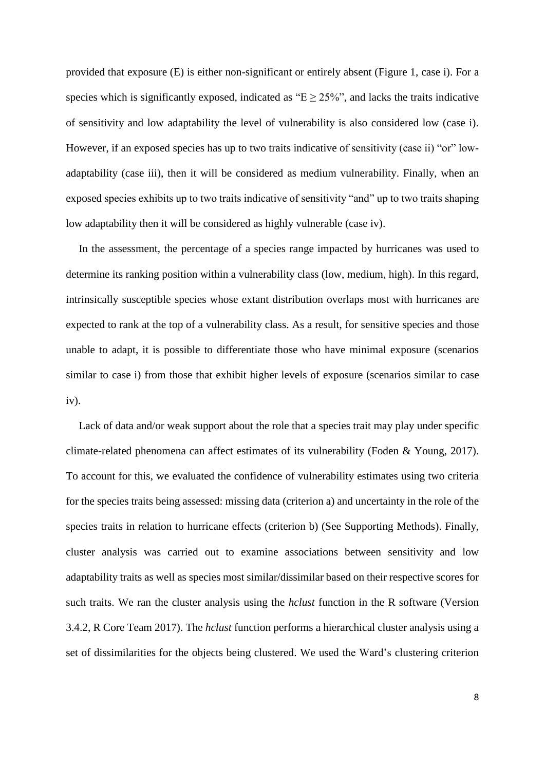provided that exposure (E) is either non-significant or entirely absent (Figure 1, case i). For a species which is significantly exposed, indicated as " $E \ge 25\%$ ", and lacks the traits indicative of sensitivity and low adaptability the level of vulnerability is also considered low (case i). However, if an exposed species has up to two traits indicative of sensitivity (case ii) "or" lowadaptability (case iii), then it will be considered as medium vulnerability. Finally, when an exposed species exhibits up to two traits indicative of sensitivity "and" up to two traits shaping low adaptability then it will be considered as highly vulnerable (case iv).

In the assessment, the percentage of a species range impacted by hurricanes was used to determine its ranking position within a vulnerability class (low, medium, high). In this regard, intrinsically susceptible species whose extant distribution overlaps most with hurricanes are expected to rank at the top of a vulnerability class. As a result, for sensitive species and those unable to adapt, it is possible to differentiate those who have minimal exposure (scenarios similar to case i) from those that exhibit higher levels of exposure (scenarios similar to case iv).

Lack of data and/or weak support about the role that a species trait may play under specific climate-related phenomena can affect estimates of its vulnerability (Foden & Young, 2017). To account for this, we evaluated the confidence of vulnerability estimates using two criteria for the species traits being assessed: missing data (criterion a) and uncertainty in the role of the species traits in relation to hurricane effects (criterion b) (See Supporting Methods). Finally, cluster analysis was carried out to examine associations between sensitivity and low adaptability traits as well as species most similar/dissimilar based on their respective scores for such traits. We ran the cluster analysis using the *hclust* function in the R software (Version 3.4.2, R Core Team 2017). The *hclust* function performs a hierarchical cluster analysis using a set of dissimilarities for the objects being clustered. We used the Ward's clustering criterion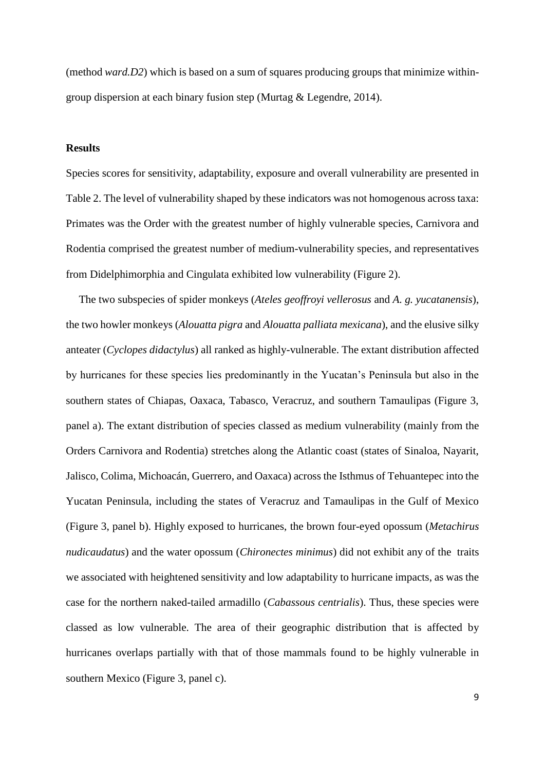(method *ward.D2*) which is based on a sum of squares producing groups that minimize withingroup dispersion at each binary fusion step (Murtag & Legendre, 2014).

# **Results**

Species scores for sensitivity, adaptability, exposure and overall vulnerability are presented in Table 2. The level of vulnerability shaped by these indicators was not homogenous across taxa: Primates was the Order with the greatest number of highly vulnerable species, Carnivora and Rodentia comprised the greatest number of medium-vulnerability species, and representatives from Didelphimorphia and Cingulata exhibited low vulnerability (Figure 2).

The two subspecies of spider monkeys (*Ateles geoffroyi vellerosus* and *A. g. yucatanensis*), the two howler monkeys (*Alouatta pigra* and *Alouatta palliata mexicana*), and the elusive silky anteater (*Cyclopes didactylus*) all ranked as highly-vulnerable. The extant distribution affected by hurricanes for these species lies predominantly in the Yucatan's Peninsula but also in the southern states of Chiapas, Oaxaca, Tabasco, Veracruz, and southern Tamaulipas (Figure 3, panel a). The extant distribution of species classed as medium vulnerability (mainly from the Orders Carnivora and Rodentia) stretches along the Atlantic coast (states of Sinaloa, Nayarit, Jalisco, Colima, Michoacán, Guerrero, and Oaxaca) across the Isthmus of Tehuantepec into the Yucatan Peninsula, including the states of Veracruz and Tamaulipas in the Gulf of Mexico (Figure 3, panel b). Highly exposed to hurricanes, the brown four-eyed opossum (*Metachirus nudicaudatus*) and the water opossum (*Chironectes minimus*) did not exhibit any of the traits we associated with heightened sensitivity and low adaptability to hurricane impacts, as was the case for the northern naked-tailed armadillo (*Cabassous centrialis*). Thus, these species were classed as low vulnerable. The area of their geographic distribution that is affected by hurricanes overlaps partially with that of those mammals found to be highly vulnerable in southern Mexico (Figure 3, panel c).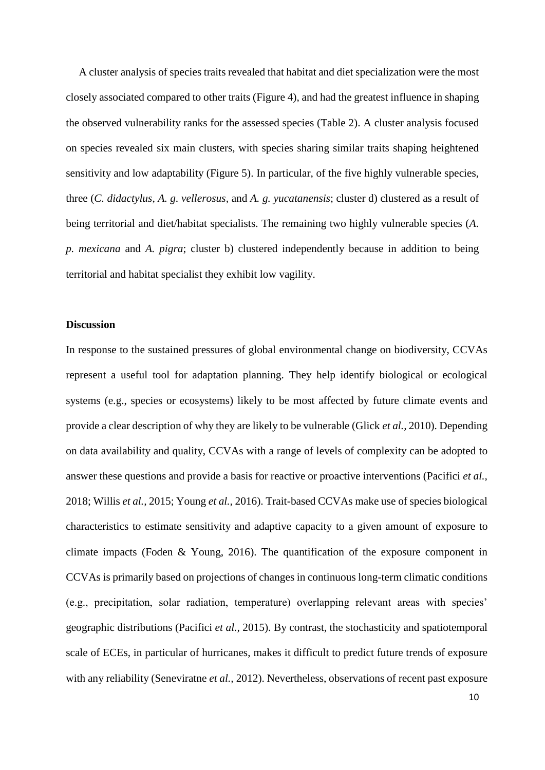A cluster analysis of species traits revealed that habitat and diet specialization were the most closely associated compared to other traits (Figure 4), and had the greatest influence in shaping the observed vulnerability ranks for the assessed species (Table 2). A cluster analysis focused on species revealed six main clusters, with species sharing similar traits shaping heightened sensitivity and low adaptability (Figure 5). In particular, of the five highly vulnerable species, three (*C. didactylus*, *A. g. vellerosus,* and *A. g. yucatanensis*; cluster d) clustered as a result of being territorial and diet/habitat specialists. The remaining two highly vulnerable species (*A. p. mexicana* and *A. pigra*; cluster b) clustered independently because in addition to being territorial and habitat specialist they exhibit low vagility.

# **Discussion**

In response to the sustained pressures of global environmental change on biodiversity, CCVAs represent a useful tool for adaptation planning. They help identify biological or ecological systems (e.g., species or ecosystems) likely to be most affected by future climate events and provide a clear description of why they are likely to be vulnerable (Glick *et al.,* 2010). Depending on data availability and quality, CCVAs with a range of levels of complexity can be adopted to answer these questions and provide a basis for reactive or proactive interventions (Pacifici *et al.,* 2018; Willis *et al.,* 2015; Young *et al.,* 2016). Trait-based CCVAs make use of species biological characteristics to estimate sensitivity and adaptive capacity to a given amount of exposure to climate impacts (Foden & Young, 2016). The quantification of the exposure component in CCVAs is primarily based on projections of changes in continuous long-term climatic conditions (e.g., precipitation, solar radiation, temperature) overlapping relevant areas with species' geographic distributions (Pacifici *et al.,* 2015). By contrast, the stochasticity and spatiotemporal scale of ECEs, in particular of hurricanes, makes it difficult to predict future trends of exposure with any reliability (Seneviratne *et al.,* 2012). Nevertheless, observations of recent past exposure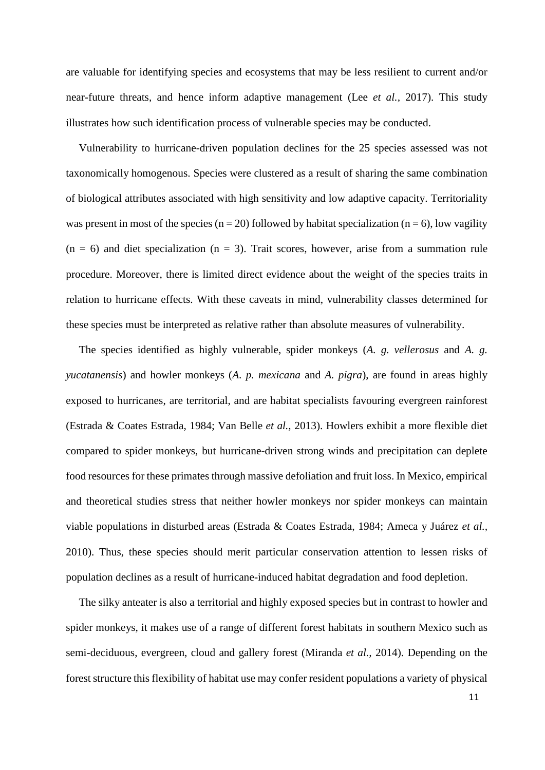are valuable for identifying species and ecosystems that may be less resilient to current and/or near-future threats, and hence inform adaptive management (Lee *et al.,* 2017). This study illustrates how such identification process of vulnerable species may be conducted.

Vulnerability to hurricane-driven population declines for the 25 species assessed was not taxonomically homogenous. Species were clustered as a result of sharing the same combination of biological attributes associated with high sensitivity and low adaptive capacity. Territoriality was present in most of the species ( $n = 20$ ) followed by habitat specialization ( $n = 6$ ), low vagility  $(n = 6)$  and diet specialization  $(n = 3)$ . Trait scores, however, arise from a summation rule procedure. Moreover, there is limited direct evidence about the weight of the species traits in relation to hurricane effects. With these caveats in mind, vulnerability classes determined for these species must be interpreted as relative rather than absolute measures of vulnerability.

The species identified as highly vulnerable, spider monkeys (*A. g. vellerosus* and *A. g. yucatanensis*) and howler monkeys (*A. p. mexicana* and *A. pigra*), are found in areas highly exposed to hurricanes, are territorial, and are habitat specialists favouring evergreen rainforest (Estrada & Coates Estrada, 1984; Van Belle *et al.,* 2013). Howlers exhibit a more flexible diet compared to spider monkeys, but hurricane-driven strong winds and precipitation can deplete food resources for these primates through massive defoliation and fruit loss. In Mexico, empirical and theoretical studies stress that neither howler monkeys nor spider monkeys can maintain viable populations in disturbed areas (Estrada & Coates Estrada, 1984; Ameca y Juárez *et al.,* 2010). Thus, these species should merit particular conservation attention to lessen risks of population declines as a result of hurricane-induced habitat degradation and food depletion.

The silky anteater is also a territorial and highly exposed species but in contrast to howler and spider monkeys, it makes use of a range of different forest habitats in southern Mexico such as semi-deciduous, evergreen, cloud and gallery forest (Miranda *et al.,* 2014). Depending on the forest structure this flexibility of habitat use may confer resident populations a variety of physical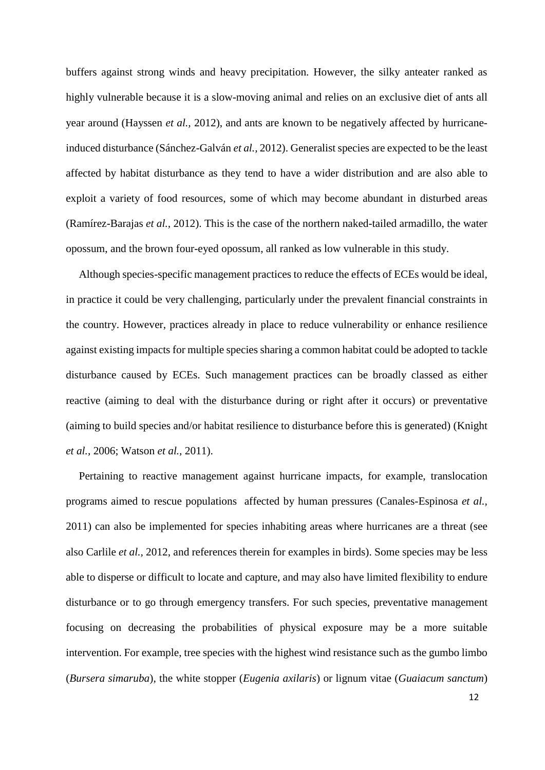buffers against strong winds and heavy precipitation. However, the silky anteater ranked as highly vulnerable because it is a slow-moving animal and relies on an exclusive diet of ants all year around (Hayssen *et al.,* 2012), and ants are known to be negatively affected by hurricaneinduced disturbance (Sánchez-Galván *et al.,* 2012). Generalist species are expected to be the least affected by habitat disturbance as they tend to have a wider distribution and are also able to exploit a variety of food resources, some of which may become abundant in disturbed areas (Ramírez-Barajas *et al.,* 2012). This is the case of the northern naked-tailed armadillo, the water opossum, and the brown four-eyed opossum, all ranked as low vulnerable in this study.

Although species-specific management practices to reduce the effects of ECEs would be ideal, in practice it could be very challenging, particularly under the prevalent financial constraints in the country. However, practices already in place to reduce vulnerability or enhance resilience against existing impacts for multiple species sharing a common habitat could be adopted to tackle disturbance caused by ECEs. Such management practices can be broadly classed as either reactive (aiming to deal with the disturbance during or right after it occurs) or preventative (aiming to build species and/or habitat resilience to disturbance before this is generated) (Knight *et al.,* 2006; Watson *et al.,* 2011).

Pertaining to reactive management against hurricane impacts, for example, translocation programs aimed to rescue populations affected by human pressures (Canales-Espinosa *et al.,* 2011) can also be implemented for species inhabiting areas where hurricanes are a threat (see also Carlile *et al.,* 2012, and references therein for examples in birds). Some species may be less able to disperse or difficult to locate and capture, and may also have limited flexibility to endure disturbance or to go through emergency transfers. For such species, preventative management focusing on decreasing the probabilities of physical exposure may be a more suitable intervention. For example, tree species with the highest wind resistance such as the gumbo limbo (*Bursera simaruba*), the white stopper (*Eugenia axilaris*) or lignum vitae (*Guaiacum sanctum*)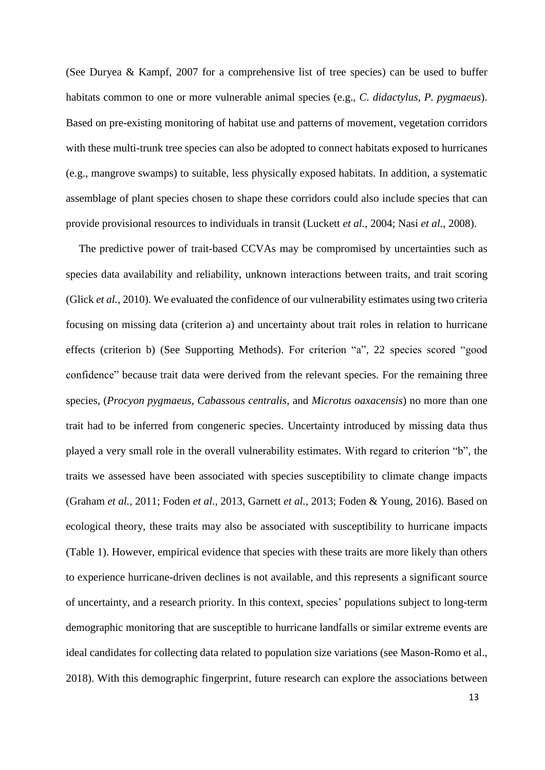(See Duryea & Kampf, 2007 for a comprehensive list of tree species) can be used to buffer habitats common to one or more vulnerable animal species (e.g., *C. didactylus*, *P. pygmaeus*). Based on pre-existing monitoring of habitat use and patterns of movement, vegetation corridors with these multi-trunk tree species can also be adopted to connect habitats exposed to hurricanes (e.g., mangrove swamps) to suitable, less physically exposed habitats. In addition, a systematic assemblage of plant species chosen to shape these corridors could also include species that can provide provisional resources to individuals in transit (Luckett *et al.,* 2004; Nasi *et al.,* 2008).

The predictive power of trait-based CCVAs may be compromised by uncertainties such as species data availability and reliability, unknown interactions between traits, and trait scoring (Glick *et al.,* 2010). We evaluated the confidence of our vulnerability estimates using two criteria focusing on missing data (criterion a) and uncertainty about trait roles in relation to hurricane effects (criterion b) (See Supporting Methods). For criterion "a", 22 species scored "good confidence" because trait data were derived from the relevant species. For the remaining three species, (*Procyon pygmaeus*, *Cabassous centralis*, and *Microtus oaxacensis*) no more than one trait had to be inferred from congeneric species. Uncertainty introduced by missing data thus played a very small role in the overall vulnerability estimates. With regard to criterion "b", the traits we assessed have been associated with species susceptibility to climate change impacts (Graham *et al.,* 2011; Foden *et al.,* 2013, Garnett *et al.,* 2013; Foden & Young, 2016). Based on ecological theory, these traits may also be associated with susceptibility to hurricane impacts (Table 1). However, empirical evidence that species with these traits are more likely than others to experience hurricane-driven declines is not available, and this represents a significant source of uncertainty, and a research priority. In this context, species' populations subject to long-term demographic monitoring that are susceptible to hurricane landfalls or similar extreme events are ideal candidates for collecting data related to population size variations (see Mason-Romo et al., 2018). With this demographic fingerprint, future research can explore the associations between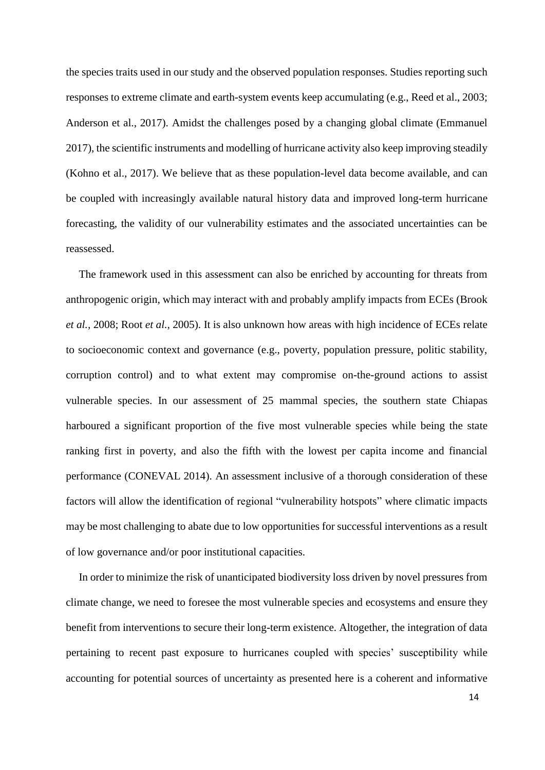the species traits used in our study and the observed population responses. Studies reporting such responses to extreme climate and earth-system events keep accumulating (e.g., Reed et al., 2003; Anderson et al., 2017). Amidst the challenges posed by a changing global climate (Emmanuel 2017), the scientific instruments and modelling of hurricane activity also keep improving steadily (Kohno et al., 2017). We believe that as these population-level data become available, and can be coupled with increasingly available natural history data and improved long-term hurricane forecasting, the validity of our vulnerability estimates and the associated uncertainties can be reassessed.

The framework used in this assessment can also be enriched by accounting for threats from anthropogenic origin, which may interact with and probably amplify impacts from ECEs (Brook *et al.,* 2008; Root *et al.,* 2005). It is also unknown how areas with high incidence of ECEs relate to socioeconomic context and governance (e.g., poverty, population pressure, politic stability, corruption control) and to what extent may compromise on-the-ground actions to assist vulnerable species. In our assessment of 25 mammal species, the southern state Chiapas harboured a significant proportion of the five most vulnerable species while being the state ranking first in poverty, and also the fifth with the lowest per capita income and financial performance (CONEVAL 2014). An assessment inclusive of a thorough consideration of these factors will allow the identification of regional "vulnerability hotspots" where climatic impacts may be most challenging to abate due to low opportunities for successful interventions as a result of low governance and/or poor institutional capacities.

In order to minimize the risk of unanticipated biodiversity loss driven by novel pressures from climate change, we need to foresee the most vulnerable species and ecosystems and ensure they benefit from interventions to secure their long-term existence. Altogether, the integration of data pertaining to recent past exposure to hurricanes coupled with species' susceptibility while accounting for potential sources of uncertainty as presented here is a coherent and informative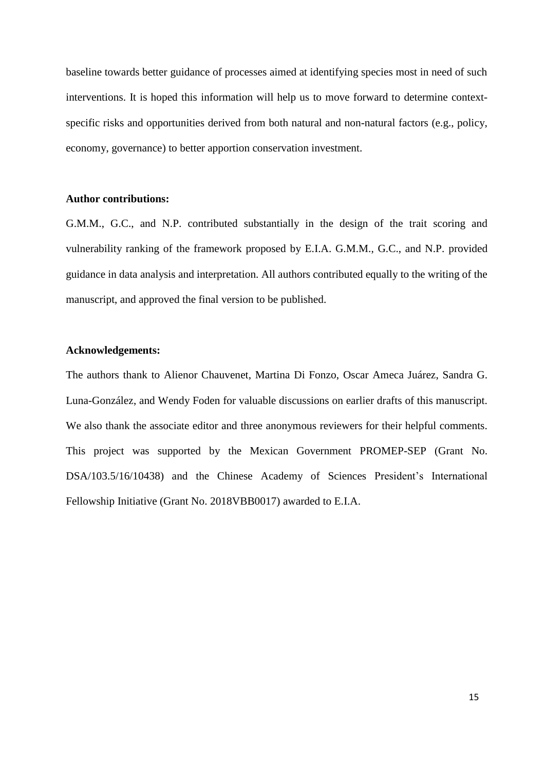baseline towards better guidance of processes aimed at identifying species most in need of such interventions. It is hoped this information will help us to move forward to determine contextspecific risks and opportunities derived from both natural and non-natural factors (e.g., policy, economy, governance) to better apportion conservation investment.

# **Author contributions:**

G.M.M., G.C., and N.P. contributed substantially in the design of the trait scoring and vulnerability ranking of the framework proposed by E.I.A. G.M.M., G.C., and N.P. provided guidance in data analysis and interpretation. All authors contributed equally to the writing of the manuscript, and approved the final version to be published.

## **Acknowledgements:**

The authors thank to Alienor Chauvenet, Martina Di Fonzo, Oscar Ameca Juárez, Sandra G. Luna-González, and Wendy Foden for valuable discussions on earlier drafts of this manuscript. We also thank the associate editor and three anonymous reviewers for their helpful comments. This project was supported by the Mexican Government PROMEP-SEP (Grant No. DSA/103.5/16/10438) and the Chinese Academy of Sciences President's International Fellowship Initiative (Grant No. 2018VBB0017) awarded to E.I.A.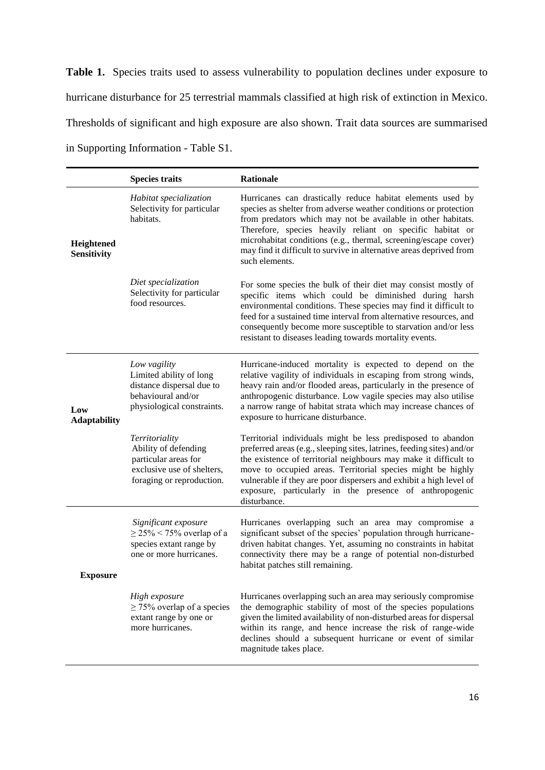Table 1. Species traits used to assess vulnerability to population declines under exposure to hurricane disturbance for 25 terrestrial mammals classified at high risk of extinction in Mexico. Thresholds of significant and high exposure are also shown. Trait data sources are summarised in Supporting Information - Table S1.

|                            | <b>Species traits</b>                                                                                                     | <b>Rationale</b>                                                                                                                                                                                                                                                                                                                                                                                                           |  |  |  |  |
|----------------------------|---------------------------------------------------------------------------------------------------------------------------|----------------------------------------------------------------------------------------------------------------------------------------------------------------------------------------------------------------------------------------------------------------------------------------------------------------------------------------------------------------------------------------------------------------------------|--|--|--|--|
| Heightened<br>Sensitivity  | Habitat specialization<br>Selectivity for particular<br>habitats.                                                         | Hurricanes can drastically reduce habitat elements used by<br>species as shelter from adverse weather conditions or protection<br>from predators which may not be available in other habitats.<br>Therefore, species heavily reliant on specific habitat or<br>microhabitat conditions (e.g., thermal, screening/escape cover)<br>may find it difficult to survive in alternative areas deprived from<br>such elements.    |  |  |  |  |
|                            | Diet specialization<br>Selectivity for particular<br>food resources.                                                      | For some species the bulk of their diet may consist mostly of<br>specific items which could be diminished during harsh<br>environmental conditions. These species may find it difficult to<br>feed for a sustained time interval from alternative resources, and<br>consequently become more susceptible to starvation and/or less<br>resistant to diseases leading towards mortality events.                              |  |  |  |  |
| Low<br><b>Adaptability</b> | Low vagility<br>Limited ability of long<br>distance dispersal due to<br>behavioural and/or<br>physiological constraints.  | Hurricane-induced mortality is expected to depend on the<br>relative vagility of individuals in escaping from strong winds,<br>heavy rain and/or flooded areas, particularly in the presence of<br>anthropogenic disturbance. Low vagile species may also utilise<br>a narrow range of habitat strata which may increase chances of<br>exposure to hurricane disturbance.                                                  |  |  |  |  |
|                            | Territoriality<br>Ability of defending<br>particular areas for<br>exclusive use of shelters,<br>foraging or reproduction. | Territorial individuals might be less predisposed to abandon<br>preferred areas (e.g., sleeping sites, latrines, feeding sites) and/or<br>the existence of territorial neighbours may make it difficult to<br>move to occupied areas. Territorial species might be highly<br>vulnerable if they are poor dispersers and exhibit a high level of<br>exposure, particularly in the presence of anthropogenic<br>disturbance. |  |  |  |  |
| <b>Exposure</b>            | Significant exposure<br>$\geq$ 25% < 75% overlap of a<br>species extant range by<br>one or more hurricanes.               | Hurricanes overlapping such an area may compromise a<br>significant subset of the species' population through hurricane-<br>driven habitat changes. Yet, assuming no constraints in habitat<br>connectivity there may be a range of potential non-disturbed<br>habitat patches still remaining.                                                                                                                            |  |  |  |  |
|                            | High exposure<br>$\geq$ 75% overlap of a species<br>extant range by one or<br>more hurricanes.                            | Hurricanes overlapping such an area may seriously compromise<br>the demographic stability of most of the species populations<br>given the limited availability of non-disturbed areas for dispersal<br>within its range, and hence increase the risk of range-wide<br>declines should a subsequent hurricane or event of similar<br>magnitude takes place.                                                                 |  |  |  |  |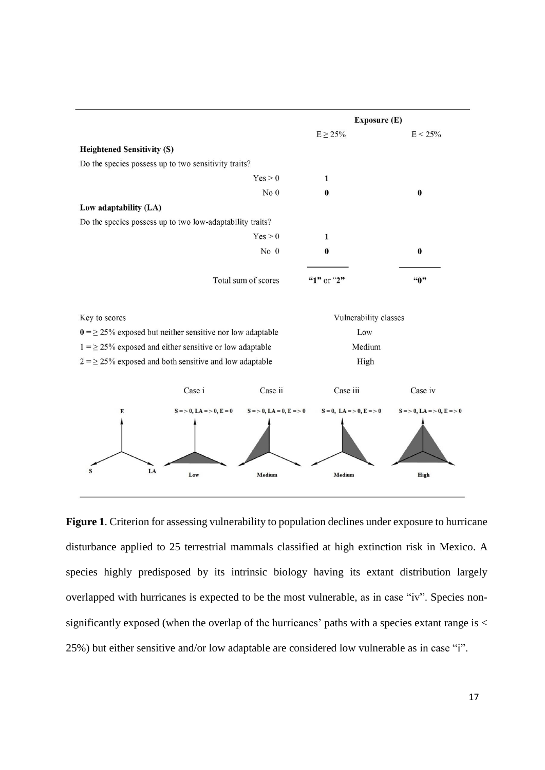

**Figure 1**. Criterion for assessing vulnerability to population declines under exposure to hurricane disturbance applied to 25 terrestrial mammals classified at high extinction risk in Mexico. A species highly predisposed by its intrinsic biology having its extant distribution largely overlapped with hurricanes is expected to be the most vulnerable, as in case "iv". Species nonsignificantly exposed (when the overlap of the hurricanes' paths with a species extant range is  $\lt$ 25%) but either sensitive and/or low adaptable are considered low vulnerable as in case "i".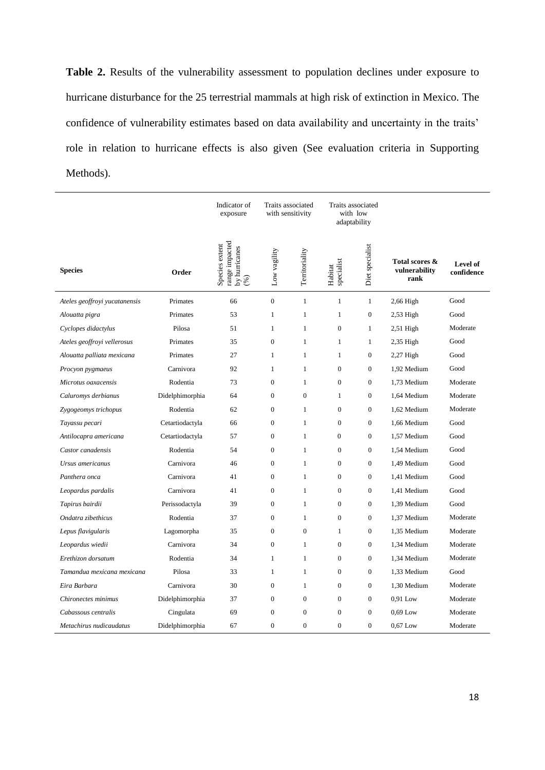**Table 2.** Results of the vulnerability assessment to population declines under exposure to hurricane disturbance for the 25 terrestrial mammals at high risk of extinction in Mexico. The confidence of vulnerability estimates based on data availability and uncertainty in the traits' role in relation to hurricane effects is also given (See evaluation criteria in Supporting Methods).

|                               |                 | Indicator of<br>exposure                                 | Traits associated<br>with sensitivity |                | Traits associated<br>with low<br>adaptability |                  |                                         |                        |
|-------------------------------|-----------------|----------------------------------------------------------|---------------------------------------|----------------|-----------------------------------------------|------------------|-----------------------------------------|------------------------|
| <b>Species</b>                | Order           | range impacted<br>Species extent<br>by hurricanes<br>(%) | Low vagility                          | Territoriality | specialist<br>Habitat                         | Diet specialist  | Total scores &<br>vulnerability<br>rank | Level of<br>confidence |
| Ateles geoffroyi yucatanensis | Primates        | 66                                                       | $\boldsymbol{0}$                      | $\mathbf{1}$   | $\mathbf{1}$                                  | $\mathbf{1}$     | $2,66$ High                             | Good                   |
| Alouatta pigra                | Primates        | 53                                                       | $\mathbf{1}$                          | $\mathbf{1}$   | $\mathbf{1}$                                  | $\boldsymbol{0}$ | $2,53$ High                             | Good                   |
| Cyclopes didactylus           | Pilosa          | 51                                                       | $\mathbf{1}$                          | $\mathbf{1}$   | $\mathbf{0}$                                  | $\mathbf{1}$     | $2,51$ High                             | Moderate               |
| Ateles geoffroyi vellerosus   | Primates        | 35                                                       | $\mathbf{0}$                          | $\mathbf{1}$   | 1                                             | 1                | $2,35$ High                             | Good                   |
| Alouatta palliata mexicana    | Primates        | 27                                                       | $\mathbf{1}$                          | $\mathbf{1}$   | 1                                             | $\boldsymbol{0}$ | $2,27$ High                             | Good                   |
| Procyon pygmaeus              | Carnivora       | 92                                                       | $\mathbf{1}$                          | $\mathbf{1}$   | $\boldsymbol{0}$                              | $\boldsymbol{0}$ | 1,92 Medium                             | Good                   |
| Microtus oaxacensis           | Rodentia        | 73                                                       | $\boldsymbol{0}$                      | $\mathbf{1}$   | $\boldsymbol{0}$                              | $\boldsymbol{0}$ | 1,73 Medium                             | Moderate               |
| Caluromys derbianus           | Didelphimorphia | 64                                                       | $\overline{0}$                        | $\mathbf{0}$   | $\mathbf{1}$                                  | $\boldsymbol{0}$ | 1,64 Medium                             | Moderate               |
| Zygogeomys trichopus          | Rodentia        | 62                                                       | $\overline{0}$                        | 1              | $\mathbf{0}$                                  | $\mathbf{0}$     | 1,62 Medium                             | Moderate               |
| Tayassu pecari                | Cetartiodactyla | 66                                                       | $\boldsymbol{0}$                      | $\mathbf{1}$   | $\boldsymbol{0}$                              | $\boldsymbol{0}$ | 1,66 Medium                             | Good                   |
| Antilocapra americana         | Cetartiodactyla | 57                                                       | $\boldsymbol{0}$                      | $\mathbf{1}$   | $\mathbf{0}$                                  | $\boldsymbol{0}$ | 1,57 Medium                             | Good                   |
| Castor canadensis             | Rodentia        | 54                                                       | $\boldsymbol{0}$                      | $\mathbf{1}$   | $\boldsymbol{0}$                              | $\boldsymbol{0}$ | 1,54 Medium                             | Good                   |
| Ursus americanus              | Carnivora       | 46                                                       | $\boldsymbol{0}$                      | $\mathbf{1}$   | $\boldsymbol{0}$                              | $\boldsymbol{0}$ | 1,49 Medium                             | Good                   |
| Panthera onca                 | Carnivora       | 41                                                       | $\overline{0}$                        | $\mathbf{1}$   | $\mathbf{0}$                                  | $\boldsymbol{0}$ | 1,41 Medium                             | Good                   |
| Leopardus pardalis            | Carnivora       | 41                                                       | $\mathbf{0}$                          | 1              | $\mathbf{0}$                                  | $\mathbf{0}$     | 1,41 Medium                             | Good                   |
| Tapirus bairdii               | Perissodactyla  | 39                                                       | $\boldsymbol{0}$                      | $\mathbf{1}$   | $\boldsymbol{0}$                              | $\boldsymbol{0}$ | 1,39 Medium                             | Good                   |
| Ondatra zibethicus            | Rodentia        | 37                                                       | $\overline{0}$                        | $\mathbf{1}$   | $\mathbf{0}$                                  | $\boldsymbol{0}$ | 1,37 Medium                             | Moderate               |
| Lepus flavigularis            | Lagomorpha      | 35                                                       | $\boldsymbol{0}$                      | $\mathbf{0}$   | $\mathbf{1}$                                  | $\boldsymbol{0}$ | 1,35 Medium                             | Moderate               |
| Leopardus wiedii              | Carnivora       | 34                                                       | $\boldsymbol{0}$                      | $\mathbf{1}$   | $\boldsymbol{0}$                              | $\boldsymbol{0}$ | 1,34 Medium                             | Moderate               |
| Erethizon dorsatum            | Rodentia        | 34                                                       | $\mathbf{1}$                          | $\mathbf{1}$   | $\mathbf{0}$                                  | $\overline{0}$   | 1,34 Medium                             | Moderate               |
| Tamandua mexicana mexicana    | Pilosa          | 33                                                       | $\mathbf{1}$                          | $\mathbf{1}$   | $\mathbf{0}$                                  | $\mathbf{0}$     | 1,33 Medium                             | Good                   |
| Eira Barbara                  | Carnivora       | 30                                                       | $\boldsymbol{0}$                      | $\mathbf{1}$   | $\boldsymbol{0}$                              | $\boldsymbol{0}$ | 1,30 Medium                             | Moderate               |
| Chironectes minimus           | Didelphimorphia | 37                                                       | $\mathbf{0}$                          | $\mathbf{0}$   | $\mathbf{0}$                                  | $\boldsymbol{0}$ | 0,91 Low                                | Moderate               |
| Cabassous centralis           | Cingulata       | 69                                                       | $\mathbf{0}$                          | $\mathbf{0}$   | $\overline{0}$                                | $\mathbf{0}$     | $0.69$ Low                              | Moderate               |
| Metachirus nudicaudatus       | Didelphimorphia | 67                                                       | $\mathbf{0}$                          | $\Omega$       | $\theta$                                      | $\mathbf{0}$     | $0.67$ Low                              | Moderate               |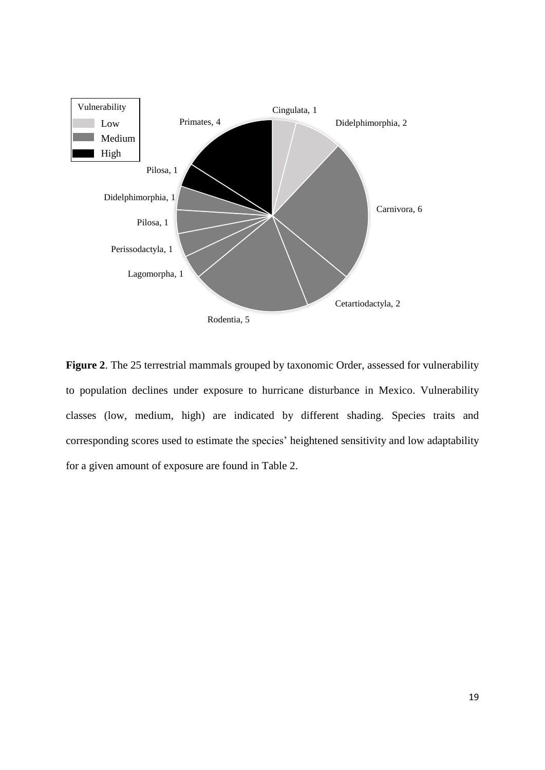

**Figure 2**. The 25 terrestrial mammals grouped by taxonomic Order, assessed for vulnerability to population declines under exposure to hurricane disturbance in Mexico. Vulnerability classes (low, medium, high) are indicated by different shading. Species traits and corresponding scores used to estimate the species' heightened sensitivity and low adaptability for a given amount of exposure are found in Table 2.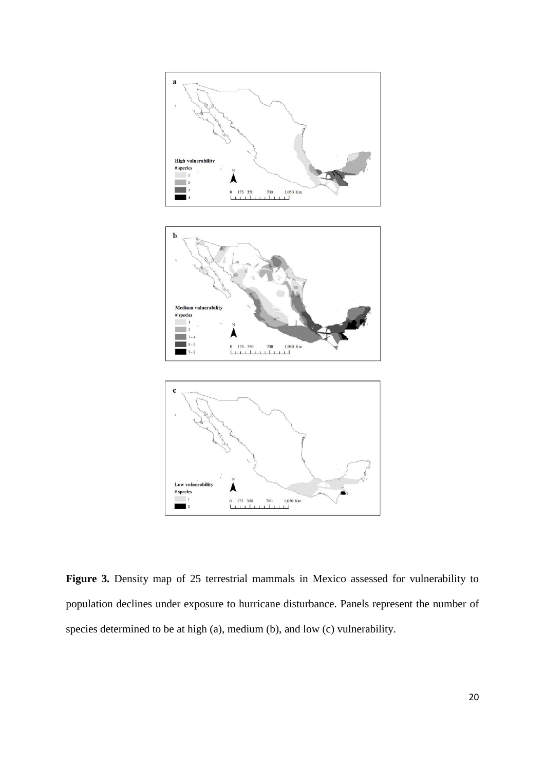

**Figure 3.** Density map of 25 terrestrial mammals in Mexico assessed for vulnerability to population declines under exposure to hurricane disturbance. Panels represent the number of species determined to be at high (a), medium (b), and low (c) vulnerability.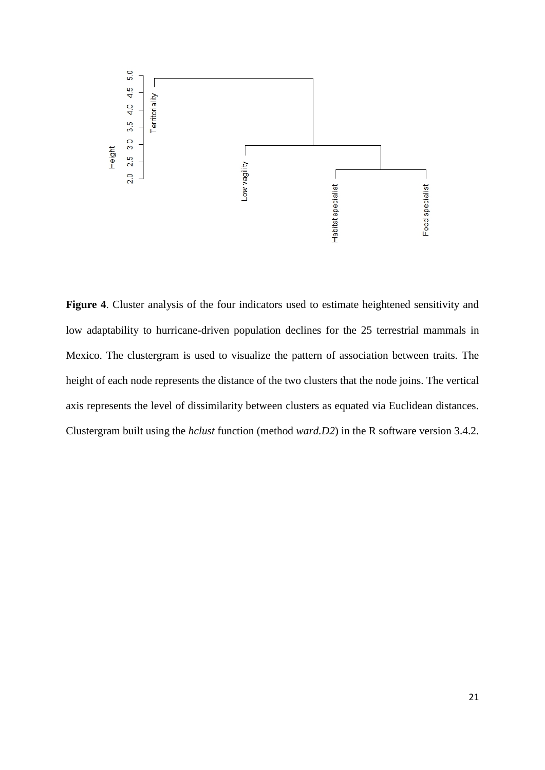

**Figure 4**. Cluster analysis of the four indicators used to estimate heightened sensitivity and low adaptability to hurricane-driven population declines for the 25 terrestrial mammals in Mexico. The clustergram is used to visualize the pattern of association between traits. The height of each node represents the distance of the two clusters that the node joins. The vertical axis represents the level of dissimilarity between clusters as equated via Euclidean distances. Clustergram built using the *hclust* function (method *ward.D2*) in the R software version 3.4.2.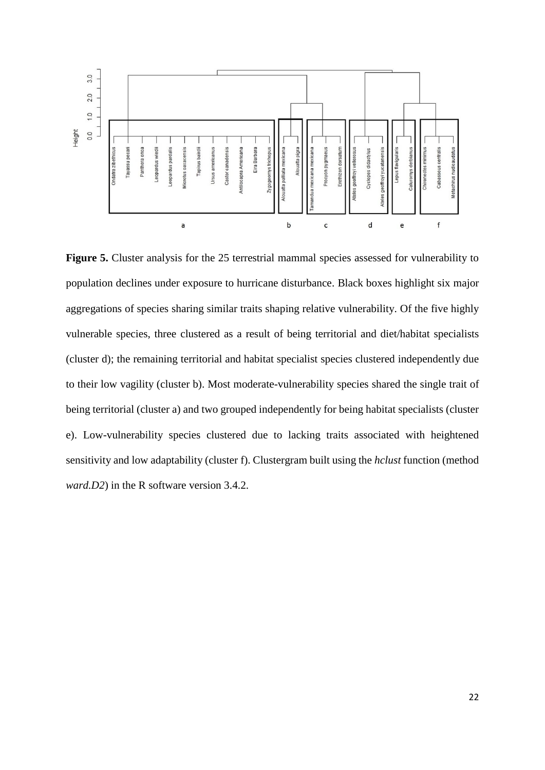

**Figure 5.** Cluster analysis for the 25 terrestrial mammal species assessed for vulnerability to population declines under exposure to hurricane disturbance. Black boxes highlight six major aggregations of species sharing similar traits shaping relative vulnerability. Of the five highly vulnerable species, three clustered as a result of being territorial and diet/habitat specialists (cluster d); the remaining territorial and habitat specialist species clustered independently due to their low vagility (cluster b). Most moderate-vulnerability species shared the single trait of being territorial (cluster a) and two grouped independently for being habitat specialists (cluster e). Low-vulnerability species clustered due to lacking traits associated with heightened sensitivity and low adaptability (cluster f). Clustergram built using the *hclust* function (method *ward.D2*) in the R software version 3.4.2.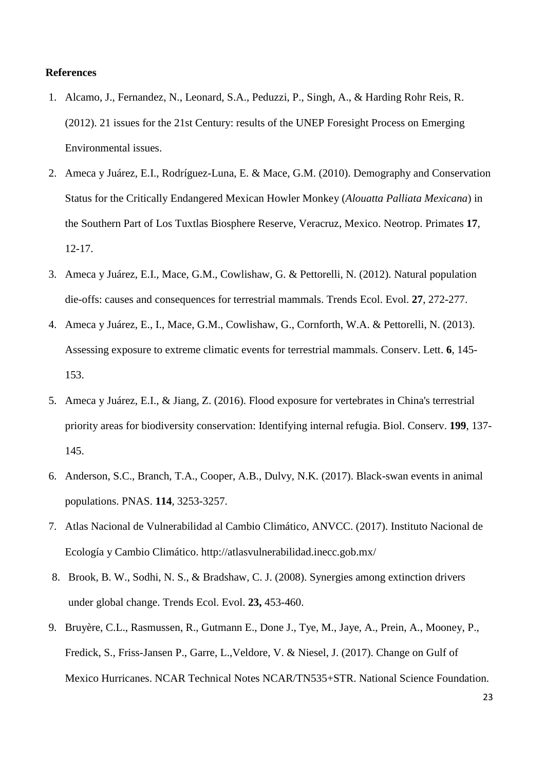### **References**

- 1. Alcamo, J., Fernandez, N., Leonard, S.A., Peduzzi, P., Singh, A., & Harding Rohr Reis, R. (2012). 21 issues for the 21st Century: results of the UNEP Foresight Process on Emerging Environmental issues.
- 2. Ameca y Juárez, E.I., Rodríguez-Luna, E. & Mace, G.M. (2010). Demography and Conservation Status for the Critically Endangered Mexican Howler Monkey (*Alouatta Palliata Mexicana*) in the Southern Part of Los Tuxtlas Biosphere Reserve, Veracruz, Mexico. Neotrop. Primates **17**, 12-17.
- 3. Ameca y Juárez, E.I., Mace, G.M., Cowlishaw, G. & Pettorelli, N. (2012). Natural population die-offs: causes and consequences for terrestrial mammals. Trends Ecol. Evol. **27**, 272-277.
- 4. Ameca y Juárez, E., I., Mace, G.M., Cowlishaw, G., Cornforth, W.A. & Pettorelli, N. (2013). Assessing exposure to extreme climatic events for terrestrial mammals. Conserv. Lett. **6**, 145- 153.
- 5. Ameca y Juárez, E.I., & Jiang, Z. (2016). Flood exposure for vertebrates in China's terrestrial priority areas for biodiversity conservation: Identifying internal refugia. Biol. Conserv. **199**, 137- 145.
- 6. Anderson, S.C., Branch, T.A., Cooper, A.B., Dulvy, N.K. (2017). Black-swan events in animal populations. PNAS. **114**, 3253-3257.
- 7. Atlas Nacional de Vulnerabilidad al Cambio Climático, ANVCC. (2017). Instituto Nacional de Ecología y Cambio Climático. <http://atlasvulnerabilidad.inecc.gob.mx/>
- 8. Brook, B. W., Sodhi, N. S., & Bradshaw, C. J. (2008). Synergies among extinction drivers under global change. Trends Ecol. Evol. **23,** 453-460.
- 9. Bruyère, C.L., Rasmussen, R., Gutmann E., Done J., Tye, M., Jaye, A., Prein, A., Mooney, P., Fredick, S., Friss-Jansen P., Garre, L.,Veldore, V. & Niesel, J. (2017). Change on Gulf of Mexico Hurricanes. NCAR Technical Notes NCAR/TN535+STR. National Science Foundation.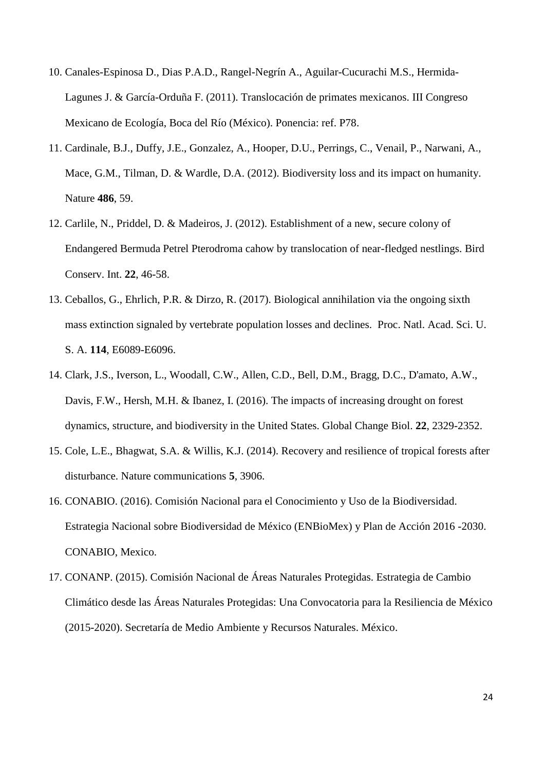- 10. Canales-Espinosa D., Dias P.A.D., Rangel-Negrín A., Aguilar-Cucurachi M.S., Hermida-Lagunes J. & García-Orduña F. (2011). Translocación de primates mexicanos. III Congreso Mexicano de Ecología, Boca del Río (México). Ponencia: ref. P78.
- 11. Cardinale, B.J., Duffy, J.E., Gonzalez, A., Hooper, D.U., Perrings, C., Venail, P., Narwani, A., Mace, G.M., Tilman, D. & Wardle, D.A. (2012). Biodiversity loss and its impact on humanity. Nature **486**, 59.
- 12. Carlile, N., Priddel, D. & Madeiros, J. (2012). Establishment of a new, secure colony of Endangered Bermuda Petrel Pterodroma cahow by translocation of near-fledged nestlings. Bird Conserv. Int. **22**, 46-58.
- 13. Ceballos, G., Ehrlich, P.R. & Dirzo, R. (2017). Biological annihilation via the ongoing sixth mass extinction signaled by vertebrate population losses and declines. Proc. Natl. Acad. Sci. U. S. A. **114**, E6089-E6096.
- 14. Clark, J.S., Iverson, L., Woodall, C.W., Allen, C.D., Bell, D.M., Bragg, D.C., D'amato, A.W., Davis, F.W., Hersh, M.H. & Ibanez, I. (2016). The impacts of increasing drought on forest dynamics, structure, and biodiversity in the United States. Global Change Biol. **22**, 2329-2352.
- 15. Cole, L.E., Bhagwat, S.A. & Willis, K.J. (2014). Recovery and resilience of tropical forests after disturbance. Nature communications **5**, 3906.
- 16. CONABIO. (2016). Comisión Nacional para el Conocimiento y Uso de la Biodiversidad. Estrategia Nacional sobre Biodiversidad de México (ENBioMex) y Plan de Acción 2016 -2030. CONABIO, Mexico.
- 17. CONANP. (2015). Comisión Nacional de Áreas Naturales Protegidas. Estrategia de Cambio Climático desde las Áreas Naturales Protegidas: Una Convocatoria para la Resiliencia de México (2015-2020). Secretaría de Medio Ambiente y Recursos Naturales. México.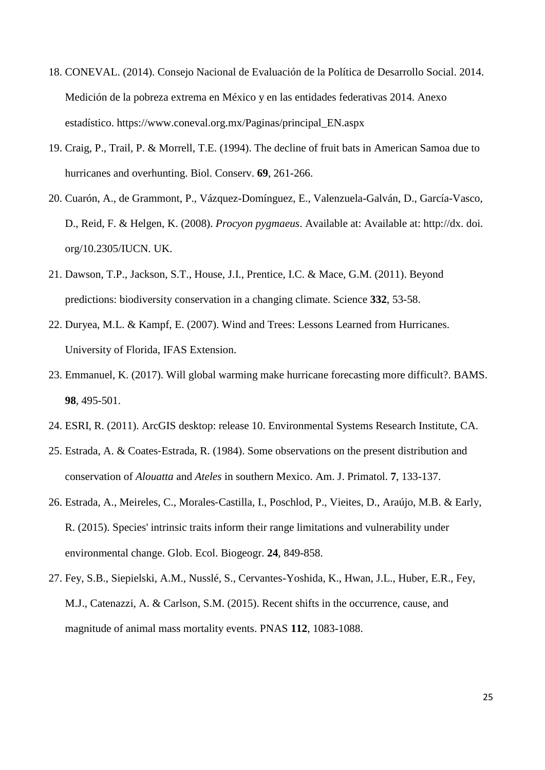- 18. CONEVAL. (2014). Consejo Nacional de Evaluación de la Política de Desarrollo Social. 2014. Medición de la pobreza extrema en México y en las entidades federativas 2014. Anexo estadístico. https://www.coneval.org.mx/Paginas/principal\_EN.aspx
- 19. Craig, P., Trail, P. & Morrell, T.E. (1994). The decline of fruit bats in American Samoa due to hurricanes and overhunting. Biol. Conserv. **69**, 261-266.
- 20. Cuarón, A., de Grammont, P., Vázquez-Domínguez, E., Valenzuela-Galván, D., García-Vasco, D., Reid, F. & Helgen, K. (2008). *Procyon pygmaeus*. Available at: Available at: http://dx. doi. org/10.2305/IUCN. UK.
- 21. Dawson, T.P., Jackson, S.T., House, J.I., Prentice, I.C. & Mace, G.M. (2011). Beyond predictions: biodiversity conservation in a changing climate. Science **332**, 53-58.
- 22. Duryea, M.L. & Kampf, E. (2007). Wind and Trees: Lessons Learned from Hurricanes. University of Florida, IFAS Extension.
- 23. Emmanuel, K. (2017). Will global warming make hurricane forecasting more difficult?. BAMS. **98**, 495-501.
- 24. ESRI, R. (2011). ArcGIS desktop: release 10. Environmental Systems Research Institute, CA.
- 25. Estrada, A. & Coates‐Estrada, R. (1984). Some observations on the present distribution and conservation of *Alouatta* and *Ateles* in southern Mexico. Am. J. Primatol. **7**, 133-137.
- 26. Estrada, A., Meireles, C., Morales‐Castilla, I., Poschlod, P., Vieites, D., Araújo, M.B. & Early, R. (2015). Species' intrinsic traits inform their range limitations and vulnerability under environmental change. Glob. Ecol. Biogeogr. **24**, 849-858.
- 27. Fey, S.B., Siepielski, A.M., Nusslé, S., Cervantes-Yoshida, K., Hwan, J.L., Huber, E.R., Fey, M.J., Catenazzi, A. & Carlson, S.M. (2015). Recent shifts in the occurrence, cause, and magnitude of animal mass mortality events. PNAS **112**, 1083-1088.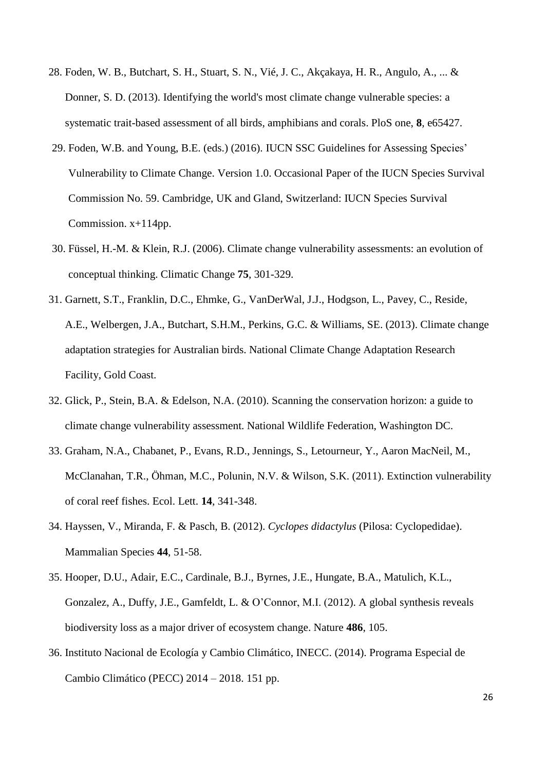- 28. Foden, W. B., Butchart, S. H., Stuart, S. N., Vié, J. C., Akçakaya, H. R., Angulo, A., ... & Donner, S. D. (2013). Identifying the world's most climate change vulnerable species: a systematic trait-based assessment of all birds, amphibians and corals. PloS one, **8**, e65427.
- 29. Foden, W.B. and Young, B.E. (eds.) (2016). IUCN SSC Guidelines for Assessing Species' Vulnerability to Climate Change. Version 1.0. Occasional Paper of the IUCN Species Survival Commission No. 59. Cambridge, UK and Gland, Switzerland: IUCN Species Survival Commission. x+114pp.
- 30. Füssel, H.-M. & Klein, R.J. (2006). Climate change vulnerability assessments: an evolution of conceptual thinking. Climatic Change **75**, 301-329.
- 31. Garnett, S.T., Franklin, D.C., Ehmke, G., VanDerWal, J.J., Hodgson, L., Pavey, C., Reside, A.E., Welbergen, J.A., Butchart, S.H.M., Perkins, G.C. & Williams, SE. (2013). Climate change adaptation strategies for Australian birds. National Climate Change Adaptation Research Facility, Gold Coast.
- 32. Glick, P., Stein, B.A. & Edelson, N.A. (2010). Scanning the conservation horizon: a guide to climate change vulnerability assessment. National Wildlife Federation, Washington DC.
- 33. Graham, N.A., Chabanet, P., Evans, R.D., Jennings, S., Letourneur, Y., Aaron MacNeil, M., McClanahan, T.R., Öhman, M.C., Polunin, N.V. & Wilson, S.K. (2011). Extinction vulnerability of coral reef fishes. Ecol. Lett. **14**, 341-348.
- 34. Hayssen, V., Miranda, F. & Pasch, B. (2012). *Cyclopes didactylus* (Pilosa: Cyclopedidae). Mammalian Species **44**, 51-58.
- 35. Hooper, D.U., Adair, E.C., Cardinale, B.J., Byrnes, J.E., Hungate, B.A., Matulich, K.L., Gonzalez, A., Duffy, J.E., Gamfeldt, L. & O'Connor, M.I. (2012). A global synthesis reveals biodiversity loss as a major driver of ecosystem change. Nature **486**, 105.
- 36. Instituto Nacional de Ecología y Cambio Climático, INECC. (2014). Programa Especial de Cambio Climático (PECC) 2014 – 2018. 151 pp.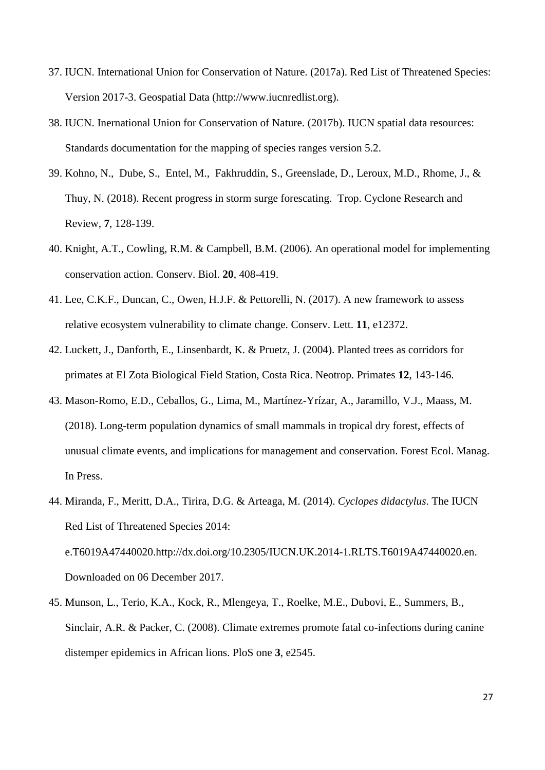- 37. IUCN. International Union for Conservation of Nature. (2017a). Red List of Threatened Species: Version 2017-3. Geospatial Data (http://www.iucnredlist.org).
- 38. IUCN. Inernational Union for Conservation of Nature. (2017b). IUCN spatial data resources: Standards documentation for the mapping of species ranges version 5.2.
- 39. Kohno, N., Dube, S., Entel, M., Fakhruddin, S., Greenslade, D., Leroux, M.D., Rhome, J., & Thuy, N. (2018). Recent progress in storm surge forescating. Trop. Cyclone Research and Review, **7**, 128-139.
- 40. Knight, A.T., Cowling, R.M. & Campbell, B.M. (2006). An operational model for implementing conservation action. Conserv. Biol. **20**, 408-419.
- 41. Lee, C.K.F., Duncan, C., Owen, H.J.F. & Pettorelli, N. (2017). A new framework to assess relative ecosystem vulnerability to climate change. Conserv. Lett. **11**, e12372.
- 42. Luckett, J., Danforth, E., Linsenbardt, K. & Pruetz, J. (2004). Planted trees as corridors for primates at El Zota Biological Field Station, Costa Rica. Neotrop. Primates **12**, 143-146.
- 43. Mason-Romo, E.D., Ceballos, G., Lima, M., Martínez-Yrízar, A., Jaramillo, V.J., Maass, M. (2018). Long-term population dynamics of small mammals in tropical dry forest, effects of unusual climate events, and implications for management and conservation. Forest Ecol. Manag. In Press.
- 44. Miranda, F., Meritt, D.A., Tirira, D.G. & Arteaga, M. (2014). *Cyclopes didactylus*. The IUCN Red List of Threatened Species 2014: e.T6019A47440020.http://dx.doi.org/10.2305/IUCN.UK.2014-1.RLTS.T6019A47440020.en. Downloaded on 06 December 2017.
- 45. Munson, L., Terio, K.A., Kock, R., Mlengeya, T., Roelke, M.E., Dubovi, E., Summers, B., Sinclair, A.R. & Packer, C. (2008). Climate extremes promote fatal co-infections during canine distemper epidemics in African lions. PloS one **3**, e2545.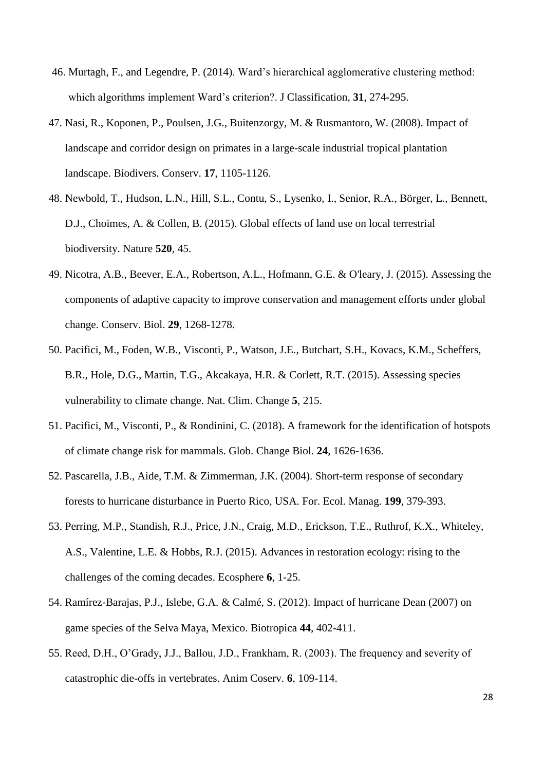- 46. Murtagh, F., and Legendre, P. (2014). Ward's hierarchical agglomerative clustering method: which algorithms implement Ward's criterion?. J Classification, **31**, 274-295.
- 47. Nasi, R., Koponen, P., Poulsen, J.G., Buitenzorgy, M. & Rusmantoro, W. (2008). Impact of landscape and corridor design on primates in a large-scale industrial tropical plantation landscape. Biodivers. Conserv. **17**, 1105-1126.
- 48. Newbold, T., Hudson, L.N., Hill, S.L., Contu, S., Lysenko, I., Senior, R.A., Börger, L., Bennett, D.J., Choimes, A. & Collen, B. (2015). Global effects of land use on local terrestrial biodiversity. Nature **520**, 45.
- 49. Nicotra, A.B., Beever, E.A., Robertson, A.L., Hofmann, G.E. & O'leary, J. (2015). Assessing the components of adaptive capacity to improve conservation and management efforts under global change. Conserv. Biol. **29**, 1268-1278.
- 50. Pacifici, M., Foden, W.B., Visconti, P., Watson, J.E., Butchart, S.H., Kovacs, K.M., Scheffers, B.R., Hole, D.G., Martin, T.G., Akcakaya, H.R. & Corlett, R.T. (2015). Assessing species vulnerability to climate change. Nat. Clim. Change **5**, 215.
- 51. Pacifici, M., Visconti, P., & Rondinini, C. (2018). A framework for the identification of hotspots of climate change risk for mammals. Glob. Change Biol. **24**, 1626-1636.
- 52. Pascarella, J.B., Aide, T.M. & Zimmerman, J.K. (2004). Short-term response of secondary forests to hurricane disturbance in Puerto Rico, USA. For. Ecol. Manag. **199**, 379-393.
- 53. Perring, M.P., Standish, R.J., Price, J.N., Craig, M.D., Erickson, T.E., Ruthrof, K.X., Whiteley, A.S., Valentine, L.E. & Hobbs, R.J. (2015). Advances in restoration ecology: rising to the challenges of the coming decades. Ecosphere **6**, 1-25.
- 54. Ramírez-Barajas, P.J., Islebe, G.A. & Calmé, S. (2012). Impact of hurricane Dean (2007) on game species of the Selva Maya, Mexico. Biotropica **44**, 402-411.
- 55. Reed, D.H., O'Grady, J.J., Ballou, J.D., Frankham, R. (2003). The frequency and severity of catastrophic die-offs in vertebrates. Anim Coserv. **6**, 109-114.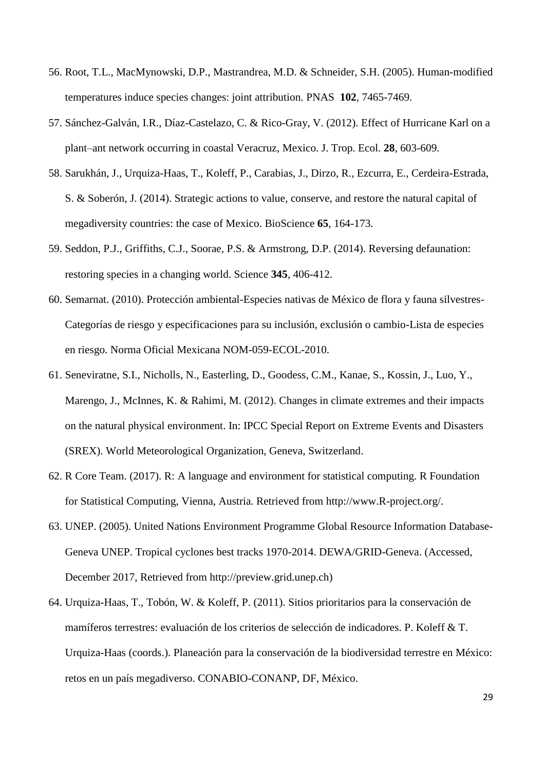- 56. Root, T.L., MacMynowski, D.P., Mastrandrea, M.D. & Schneider, S.H. (2005). Human-modified temperatures induce species changes: joint attribution. PNAS **102**, 7465-7469.
- 57. Sánchez-Galván, I.R., Díaz-Castelazo, C. & Rico-Gray, V. (2012). Effect of Hurricane Karl on a plant–ant network occurring in coastal Veracruz, Mexico. J. Trop. Ecol. **28**, 603-609.
- 58. Sarukhán, J., Urquiza-Haas, T., Koleff, P., Carabias, J., Dirzo, R., Ezcurra, E., Cerdeira-Estrada, S. & Soberón, J. (2014). Strategic actions to value, conserve, and restore the natural capital of megadiversity countries: the case of Mexico. BioScience **65**, 164-173.
- 59. Seddon, P.J., Griffiths, C.J., Soorae, P.S. & Armstrong, D.P. (2014). Reversing defaunation: restoring species in a changing world. Science **345**, 406-412.
- 60. Semarnat. (2010). Protección ambiental-Especies nativas de México de flora y fauna silvestres-Categorías de riesgo y especificaciones para su inclusión, exclusión o cambio-Lista de especies en riesgo. Norma Oficial Mexicana NOM-059-ECOL-2010.
- 61. Seneviratne, S.I., Nicholls, N., Easterling, D., Goodess, C.M., Kanae, S., Kossin, J., Luo, Y., Marengo, J., McInnes, K. & Rahimi, M. (2012). Changes in climate extremes and their impacts on the natural physical environment. In: IPCC Special Report on Extreme Events and Disasters (SREX). World Meteorological Organization, Geneva, Switzerland.
- 62. R Core Team. (2017). R: A language and environment for statistical computing. R Foundation for Statistical Computing, Vienna, Austria. Retrieved from [http://www.R-project.org/.](http://www.r-project.org/)
- 63. UNEP. (2005). United Nations Environment Programme Global Resource Information Database-Geneva UNEP. Tropical cyclones best tracks 1970-2014. DEWA/GRID-Geneva. (Accessed, December 2017, Retrieved from http://preview.grid.unep.ch)
- 64. Urquiza-Haas, T., Tobón, W. & Koleff, P. (2011). Sitios prioritarios para la conservación de mamíferos terrestres: evaluación de los criterios de selección de indicadores. P. Koleff & T. Urquiza-Haas (coords.). Planeación para la conservación de la biodiversidad terrestre en México: retos en un país megadiverso. CONABIO-CONANP, DF, México.